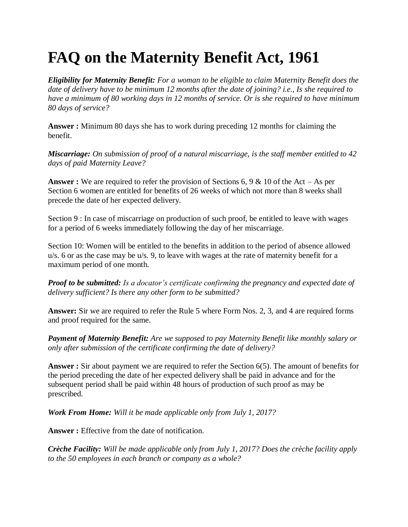## **FAQ on the Maternity Benefit Act, 1961**

*Eligibility for Maternity Benefit: For a woman to be eligible to claim Maternity Benefit does the date of delivery have to be minimum 12 months after the date of joining? i.e., Is she required to have a minimum of 80 working days in 12 months of service. Or is she required to have minimum 80 days of service?*

**Answer :** Minimum 80 days she has to work during preceding 12 months for claiming the benefit.

*Miscarriage: On submission of proof of a natural miscarriage, is the staff member entitled to 42 days of paid Maternity Leave?*

**Answer :** We are required to refer the provision of Sections 6, 9 & 10 of the Act – As per Section 6 women are entitled for benefits of 26 weeks of which not more than 8 weeks shall precede the date of her expected delivery.

Section 9 : In case of miscarriage on production of such proof, be entitled to leave with wages for a period of 6 weeks immediately following the day of her miscarriage.

Section 10: Women will be entitled to the benefits in addition to the period of absence allowed u/s. 6 or as the case may be u/s. 9, to leave with wages at the rate of maternity benefit for a maximum period of one month.

*Proof to be submitted: Is a docator's certificate confirming the pregnancy and expected date of delivery sufficient? Is there any other form to be submitted?*

**Answer:** Sir we are required to refer the Rule 5 where Form Nos. 2, 3, and 4 are required forms and proof required for the same.

*Payment of Maternity Benefit: Are we supposed to pay Maternity Benefit like monthly salary or only after submission of the certificate confirming the date of delivery?*

**Answer :** Sir about payment we are required to refer the Section 6(5). The amount of benefits for the period preceding the date of her expected delivery shall be paid in advance and for the subsequent period shall be paid within 48 hours of production of such proof as may be prescribed.

*Work From Home: Will it be made applicable only from July 1, 2017?*

**Answer :** Effective from the date of notification.

*Crèche Facility: Will be made applicable only from July 1, 2017? Does the crèche facility apply to the 50 employees in each branch or company as a whole?*